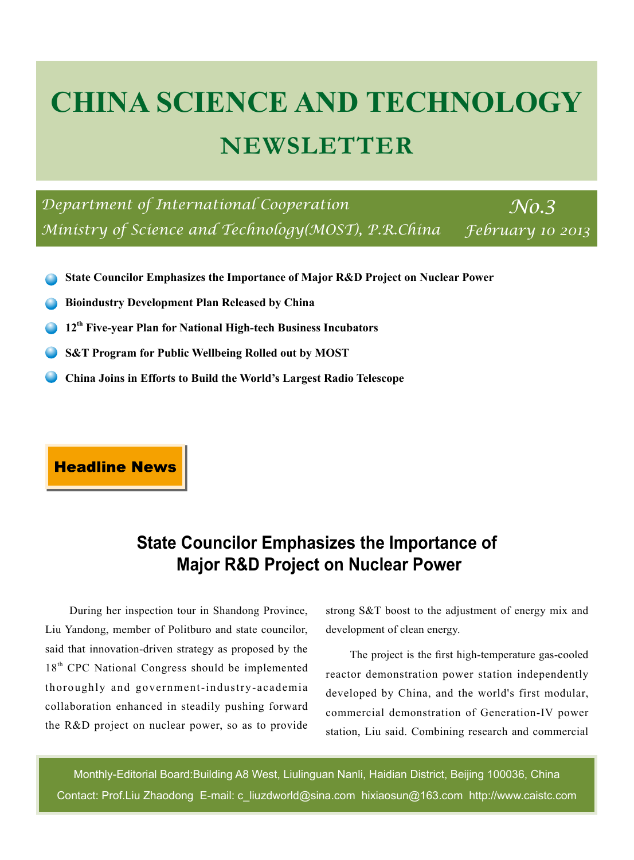# **CHINA SCIENCE AND TECHNOLOGY NEWSLETTER**

*Department of International Cooperation No.3 Ministry of Science and Technology(MOST), P.R.China* 

*February 10 2013*

- **State Councilor Emphasizes the Importance of Major R&D Project on Nuclear Power**
- **Bioindustry Development Plan Released by China**
- **12th Five-year Plan for National High-tech Business Incubators**
- **S&T Program for Public Wellbeing Rolled out by MOST**
- **China Joins in Efforts to Build the World's Largest Radio Telescope**

**Headline News** 

# **State Councilor Emphasizes the Importance of Major R&D Project on Nuclear Power**

During her inspection tour in Shandong Province, Liu Yandong, member of Politburo and state councilor, said that innovation-driven strategy as proposed by the 18<sup>th</sup> CPC National Congress should be implemented thoroughly and government-industry-academia collaboration enhanced in steadily pushing forward the R&D project on nuclear power, so as to provide strong S&T boost to the adjustment of energy mix and development of clean energy.

The project is the first high-temperature gas-cooled reactor demonstration power station independently developed by China, and the world's first modular, commercial demonstration of Generation-IV power station, Liu said. Combining research and commercial

Monthly-Editorial Board:Building A8 West, Liulinguan Nanli, Haidian District, Beijing 100036, China Contact: Prof.Liu Zhaodong E-mail: c\_liuzdworld@sina.com hixiaosun@163.com http://www.caistc.com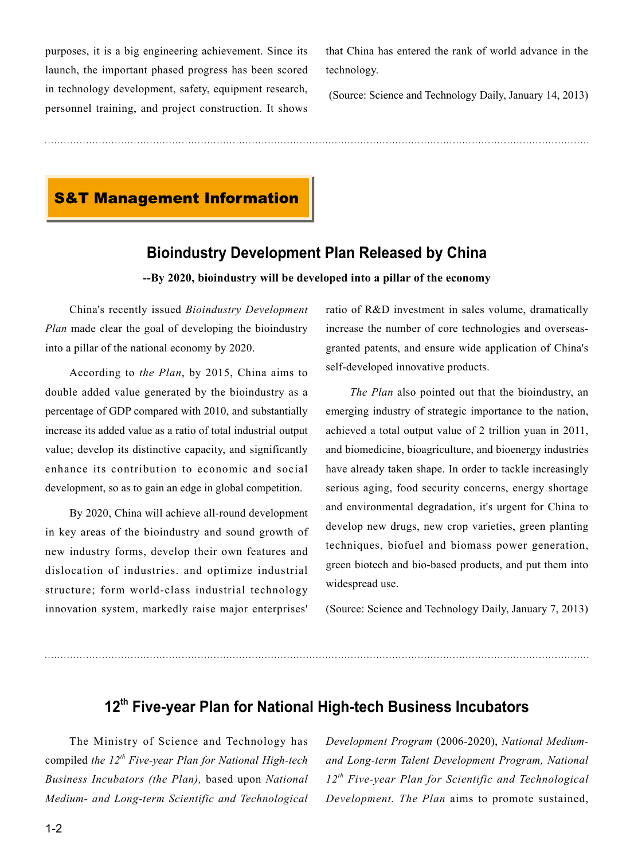purposes, it is a big engineering achievement. Since its launch, the important phased progress has been scored in technology development, safety, equipment research, personnel training, and project construction. It shows that China has entered the rank of world advance in the technology.

(Source: Science and Technology Daily, January 14, 2013)

### **S&T Management Information**

#### **Bioindustry Development Plan Released by China**

**--By 2020, bioindustry will be developed into a pillar of the economy** 

China's recently issued *Bioindustry Development Plan* made clear the goal of developing the bioindustry into a pillar of the national economy by 2020.

According to *the Plan*, by 2015, China aims to double added value generated by the bioindustry as a percentage of GDP compared with 2010, and substantially increase its added value as a ratio of total industrial output value; develop its distinctive capacity, and significantly enhance its contribution to economic and social development, so as to gain an edge in global competition.

By 2020, China will achieve all-round development in key areas of the bioindustry and sound growth of new industry forms, develop their own features and dislocation of industries. and optimize industrial structure; form world-class industrial technology innovation system, markedly raise major enterprises'

ratio of R&D investment in sales volume, dramatically increase the number of core technologies and overseasgranted patents, and ensure wide application of China's self-developed innovative products.

*The Plan* also pointed out that the bioindustry, an emerging industry of strategic importance to the nation, achieved a total output value of 2 trillion yuan in 2011, and biomedicine, bioagriculture, and bioenergy industries have already taken shape. In order to tackle increasingly serious aging, food security concerns, energy shortage and environmental degradation, it's urgent for China to develop new drugs, new crop varieties, green planting techniques, biofuel and biomass power generation, green biotech and bio-based products, and put them into widespread use.

(Source: Science and Technology Daily, January 7, 2013)

## **12th Five-year Plan for National High-tech Business Incubators**

The Ministry of Science and Technology has compiled *the 12th Five-year Plan for National High-tech Business Incubators (the Plan),* based upon *National Medium- and Long-term Scientific and Technological*  *Development Program* (2006-2020), *National Mediumand Long-term Talent Development Program, National 12th Five-year Plan for Scientific and Technological Development. The Plan* aims to promote sustained,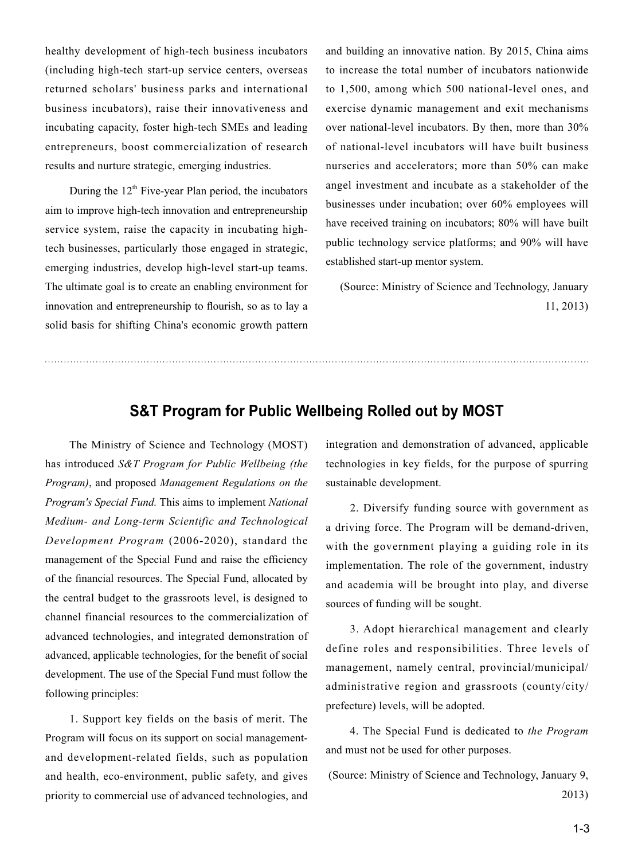healthy development of high-tech business incubators (including high-tech start-up service centers, overseas returned scholars' business parks and international business incubators), raise their innovativeness and incubating capacity, foster high-tech SMEs and leading entrepreneurs, boost commercialization of research results and nurture strategic, emerging industries.

During the  $12<sup>th</sup>$  Five-year Plan period, the incubators aim to improve high-tech innovation and entrepreneurship service system, raise the capacity in incubating hightech businesses, particularly those engaged in strategic, emerging industries, develop high-level start-up teams. The ultimate goal is to create an enabling environment for innovation and entrepreneurship to flourish, so as to lay a solid basis for shifting China's economic growth pattern

and building an innovative nation. By 2015, China aims to increase the total number of incubators nationwide to 1,500, among which 500 national-level ones, and exercise dynamic management and exit mechanisms over national-level incubators. By then, more than 30% of national-level incubators will have built business nurseries and accelerators; more than 50% can make angel investment and incubate as a stakeholder of the businesses under incubation; over 60% employees will have received training on incubators; 80% will have built public technology service platforms; and 90% will have established start-up mentor system.

(Source: Ministry of Science and Technology, January 11, 2013)

#### **S&T Program for Public Wellbeing Rolled out by MOST**

The Ministry of Science and Technology (MOST) has introduced *S&T Program for Public Wellbeing (the Program)*, and proposed *Management Regulations on the Program's Special Fund.* This aims to implement *National Medium- and Long-term Scientific and Technological Development Program* (2006-2020), standard the management of the Special Fund and raise the efficiency of the financial resources. The Special Fund, allocated by the central budget to the grassroots level, is designed to channel financial resources to the commercialization of advanced technologies, and integrated demonstration of advanced, applicable technologies, for the benefit of social development. The use of the Special Fund must follow the following principles:

1. Support key fields on the basis of merit. The Program will focus on its support on social managementand development-related fields, such as population and health, eco-environment, public safety, and gives priority to commercial use of advanced technologies, and integration and demonstration of advanced, applicable technologies in key fields, for the purpose of spurring sustainable development.

2. Diversify funding source with government as a driving force. The Program will be demand-driven, with the government playing a guiding role in its implementation. The role of the government, industry and academia will be brought into play, and diverse sources of funding will be sought.

3. Adopt hierarchical management and clearly define roles and responsibilities. Three levels of management, namely central, provincial/municipal/ administrative region and grassroots (county/city/ prefecture) levels, will be adopted.

4. The Special Fund is dedicated to *the Program* and must not be used for other purposes.

(Source: Ministry of Science and Technology, January 9, 2013)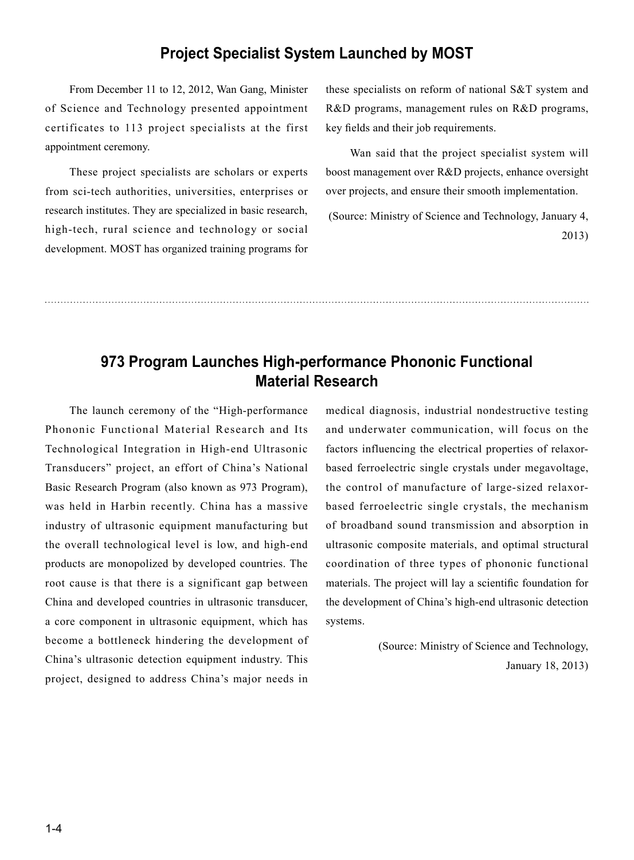#### **Project Specialist System Launched by MOST**

From December 11 to 12, 2012, Wan Gang, Minister of Science and Technology presented appointment certificates to 113 project specialists at the first appointment ceremony.

These project specialists are scholars or experts from sci-tech authorities, universities, enterprises or research institutes. They are specialized in basic research, high-tech, rural science and technology or social development. MOST has organized training programs for these specialists on reform of national S&T system and R&D programs, management rules on R&D programs, key fields and their job requirements.

Wan said that the project specialist system will boost management over R&D projects, enhance oversight over projects, and ensure their smooth implementation.

 (Source: Ministry of Science and Technology, January 4, 2013)

## **973 Program Launches High-performance Phononic Functional Material Research**

The launch ceremony of the "High-performance Phononic Functional Material Research and Its Technological Integration in High-end Ultrasonic Transducers" project, an effort of China's National Basic Research Program (also known as 973 Program), was held in Harbin recently. China has a massive industry of ultrasonic equipment manufacturing but the overall technological level is low, and high-end products are monopolized by developed countries. The root cause is that there is a significant gap between China and developed countries in ultrasonic transducer, a core component in ultrasonic equipment, which has become a bottleneck hindering the development of China's ultrasonic detection equipment industry. This project, designed to address China's major needs in medical diagnosis, industrial nondestructive testing and underwater communication, will focus on the factors influencing the electrical properties of relaxorbased ferroelectric single crystals under megavoltage, the control of manufacture of large-sized relaxorbased ferroelectric single crystals, the mechanism of broadband sound transmission and absorption in ultrasonic composite materials, and optimal structural coordination of three types of phononic functional materials. The project will lay a scientific foundation for the development of China's high-end ultrasonic detection systems.

> (Source: Ministry of Science and Technology, January 18, 2013)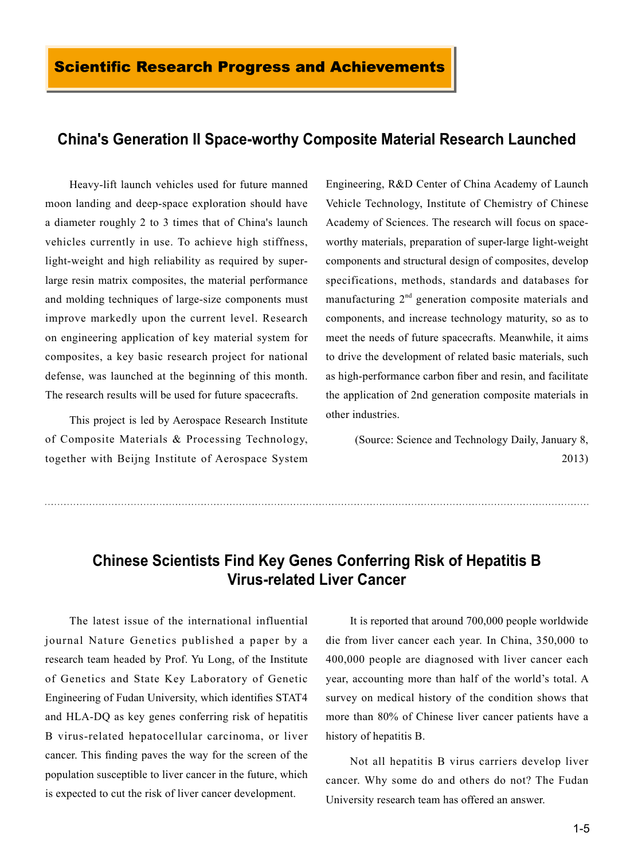#### **China's Generation II Space-worthy Composite Material Research Launched**

Heavy-lift launch vehicles used for future manned moon landing and deep-space exploration should have a diameter roughly 2 to 3 times that of China's launch vehicles currently in use. To achieve high stiffness, light-weight and high reliability as required by superlarge resin matrix composites, the material performance and molding techniques of large-size components must improve markedly upon the current level. Research on engineering application of key material system for composites, a key basic research project for national defense, was launched at the beginning of this month. The research results will be used for future spacecrafts.

This project is led by Aerospace Research Institute of Composite Materials & Processing Technology, together with Beijng Institute of Aerospace System

Engineering, R&D Center of China Academy of Launch Vehicle Technology, Institute of Chemistry of Chinese Academy of Sciences. The research will focus on spaceworthy materials, preparation of super-large light-weight components and structural design of composites, develop specifications, methods, standards and databases for manufacturing  $2<sup>nd</sup>$  generation composite materials and components, and increase technology maturity, so as to meet the needs of future spacecrafts. Meanwhile, it aims to drive the development of related basic materials, such as high-performance carbon fiber and resin, and facilitate the application of 2nd generation composite materials in other industries.

 (Source: Science and Technology Daily, January 8, 2013)

## **Chinese Scientists Find Key Genes Conferring Risk of Hepatitis B Virus-related Liver Cancer**

The latest issue of the international influential journal Nature Genetics published a paper by a research team headed by Prof. Yu Long, of the Institute of Genetics and State Key Laboratory of Genetic Engineering of Fudan University, which identifies STAT4 and HLA-DQ as key genes conferring risk of hepatitis B virus-related hepatocellular carcinoma, or liver cancer. This finding paves the way for the screen of the population susceptible to liver cancer in the future, which is expected to cut the risk of liver cancer development.

It is reported that around 700,000 people worldwide die from liver cancer each year. In China, 350,000 to 400,000 people are diagnosed with liver cancer each year, accounting more than half of the world's total. A survey on medical history of the condition shows that more than 80% of Chinese liver cancer patients have a history of hepatitis B.

Not all hepatitis B virus carriers develop liver cancer. Why some do and others do not? The Fudan University research team has offered an answer.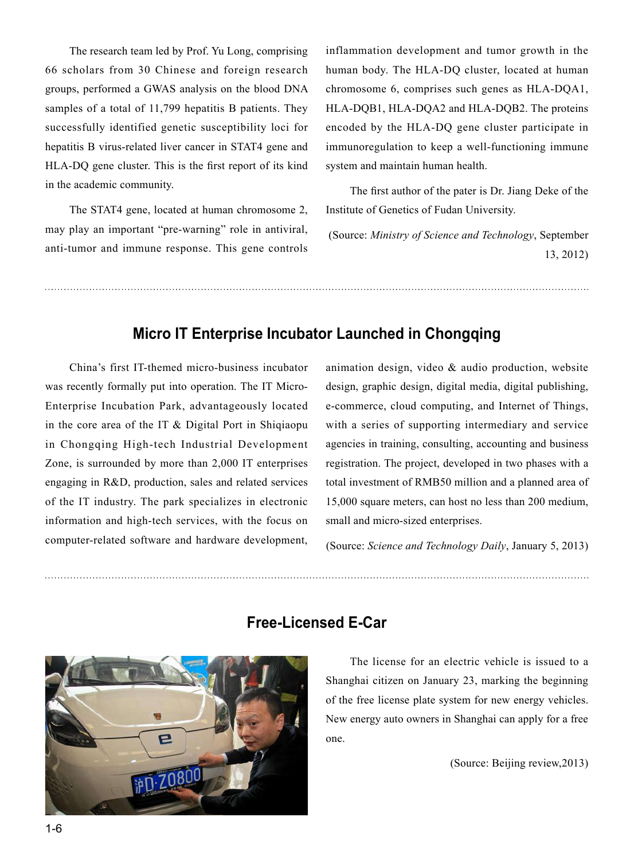The research team led by Prof. Yu Long, comprising 66 scholars from 30 Chinese and foreign research groups, performed a GWAS analysis on the blood DNA samples of a total of 11,799 hepatitis B patients. They successfully identified genetic susceptibility loci for hepatitis B virus-related liver cancer in STAT4 gene and HLA-DQ gene cluster. This is the first report of its kind in the academic community.

The STAT4 gene, located at human chromosome 2, may play an important "pre-warning" role in antiviral, anti-tumor and immune response. This gene controls inflammation development and tumor growth in the human body. The HLA-DQ cluster, located at human chromosome 6, comprises such genes as HLA-DQA1, HLA-DQB1, HLA-DQA2 and HLA-DQB2. The proteins encoded by the HLA-DQ gene cluster participate in immunoregulation to keep a well-functioning immune system and maintain human health.

The first author of the pater is Dr. Jiang Deke of the Institute of Genetics of Fudan University.

 (Source: *Ministry of Science and Technology*, September 13, 2012)

#### **Micro IT Enterprise Incubator Launched in Chongqing**

China's first IT-themed micro-business incubator was recently formally put into operation. The IT Micro-Enterprise Incubation Park, advantageously located in the core area of the IT & Digital Port in Shiqiaopu in Chongqing High-tech Industrial Development Zone, is surrounded by more than 2,000 IT enterprises engaging in R&D, production, sales and related services of the IT industry. The park specializes in electronic information and high-tech services, with the focus on computer-related software and hardware development,

animation design, video & audio production, website design, graphic design, digital media, digital publishing, e-commerce, cloud computing, and Internet of Things, with a series of supporting intermediary and service agencies in training, consulting, accounting and business registration. The project, developed in two phases with a total investment of RMB50 million and a planned area of 15,000 square meters, can host no less than 200 medium, small and micro-sized enterprises.

(Source: *Science and Technology Daily*, January 5, 2013)



#### **Free-Licensed E-Car**

The license for an electric vehicle is issued to a Shanghai citizen on January 23, marking the beginning of the free license plate system for new energy vehicles. New energy auto owners in Shanghai can apply for a free one.

(Source: Beijing review,2013)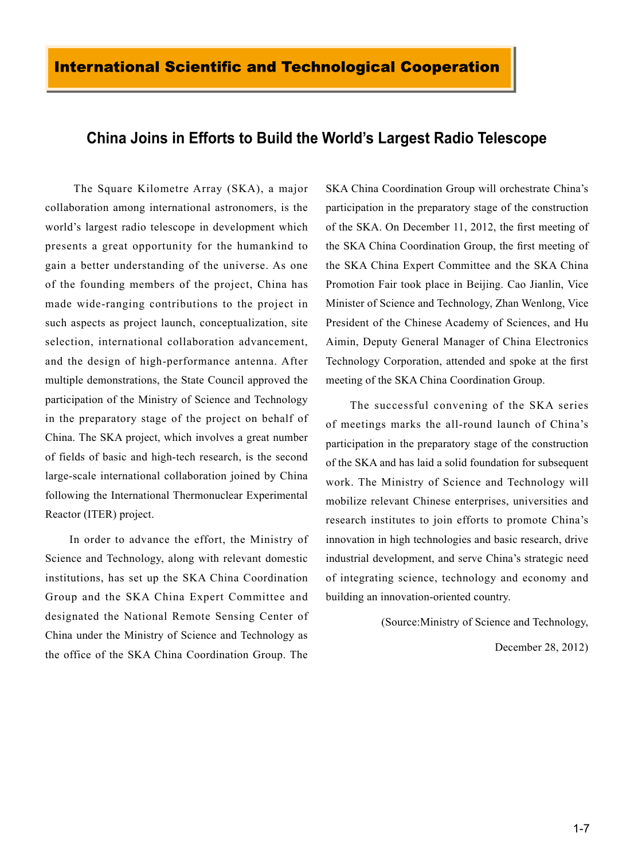#### **China Joins in Efforts to Build the World's Largest Radio Telescope**

 The Square Kilometre Array (SKA), a major collaboration among international astronomers, is the world's largest radio telescope in development which presents a great opportunity for the humankind to gain a better understanding of the universe. As one of the founding members of the project, China has made wide-ranging contributions to the project in such aspects as project launch, conceptualization, site selection, international collaboration advancement, and the design of high-performance antenna. After multiple demonstrations, the State Council approved the participation of the Ministry of Science and Technology in the preparatory stage of the project on behalf of China. The SKA project, which involves a great number of fields of basic and high-tech research, is the second large-scale international collaboration joined by China following the International Thermonuclear Experimental Reactor (ITER) project.

In order to advance the effort, the Ministry of Science and Technology, along with relevant domestic institutions, has set up the SKA China Coordination Group and the SKA China Expert Committee and designated the National Remote Sensing Center of China under the Ministry of Science and Technology as the office of the SKA China Coordination Group. The SKA China Coordination Group will orchestrate China's participation in the preparatory stage of the construction of the SKA. On December 11, 2012, the first meeting of the SKA China Coordination Group, the first meeting of the SKA China Expert Committee and the SKA China Promotion Fair took place in Beijing. Cao Jianlin, Vice Minister of Science and Technology, Zhan Wenlong, Vice President of the Chinese Academy of Sciences, and Hu Aimin, Deputy General Manager of China Electronics Technology Corporation, attended and spoke at the first meeting of the SKA China Coordination Group.

The successful convening of the SKA series of meetings marks the all-round launch of China's participation in the preparatory stage of the construction of the SKA and has laid a solid foundation for subsequent work. The Ministry of Science and Technology will mobilize relevant Chinese enterprises, universities and research institutes to join efforts to promote China's innovation in high technologies and basic research, drive industrial development, and serve China's strategic need of integrating science, technology and economy and building an innovation-oriented country.

(Source:Ministry of Science and Technology,

December 28, 2012)